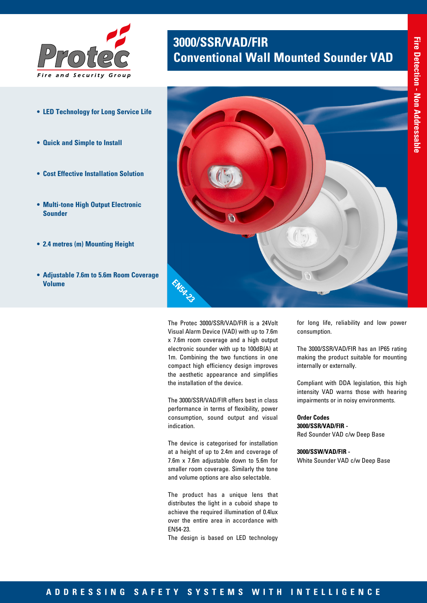

- **• LED Technology for Long Service Life**
- **• Quick and Simple to Install**
- **• Cost Effective Installation Solution**
- **• Multi-tone High Output Electronic Sounder**
- **• 2.4 metres (m) Mounting Height**
- **• Adjustable 7.6m to 5.6m Room Coverage Volume**

## **3000/SSR/VAD/FIR Conventional Wall Mounted Sounder VAD**



The Protec 3000/SSR/VAD/FIR is a 24Volt Visual Alarm Device (VAD) with up to 7.6m x 7.6m room coverage and a high output electronic sounder with up to 100dB(A) at 1m. Combining the two functions in one compact high efficiency design improves the aesthetic appearance and simplifies the installation of the device.

The 3000/SSR/VAD/FIR offers best in class performance in terms of flexibility, power consumption, sound output and visual indication.

The device is categorised for installation at a height of up to 2.4m and coverage of 7.6m x 7.6m adjustable down to 5.6m for smaller room coverage. Similarly the tone and volume options are also selectable.

The product has a unique lens that distributes the light in a cuboid shape to achieve the required illumination of 0.4lux over the entire area in accordance with EN54-23.

The design is based on LED technology

for long life, reliability and low power consumption.

The 3000/SSR/VAD/FIR has an IP65 rating making the product suitable for mounting internally or externally.

Compliant with DDA legislation, this high intensity VAD warns those with hearing impairments or in noisy environments.

**Order Codes 3000/SSR/VAD/FIR -**  Red Sounder VAD c/w Deep Base

**3000/SSW/VAD/FIR -** White Sounder VAD c/w Deep Base